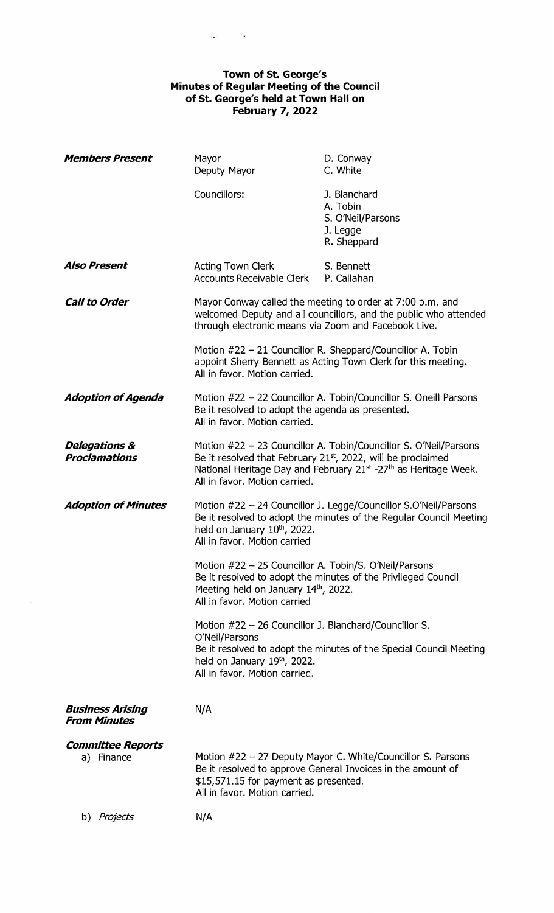## **Town of St. George's Minutes of Regular Meeting of the Council of St. George's held at Town Hall on February 7, 2022**

 $\frac{1}{2} \sum_{i=1}^{n} \frac{1}{i} \sum_{j=1}^{n} \frac{1}{j} \sum_{j=1}^{n} \frac{1}{j} \sum_{j=1}^{n} \frac{1}{j} \sum_{j=1}^{n} \frac{1}{j} \sum_{j=1}^{n} \frac{1}{j} \sum_{j=1}^{n} \frac{1}{j} \sum_{j=1}^{n} \frac{1}{j} \sum_{j=1}^{n} \frac{1}{j} \sum_{j=1}^{n} \frac{1}{j} \sum_{j=1}^{n} \frac{1}{j} \sum_{j=1}^{n} \frac{1}{j} \sum_{j=1}^{n$ 

| <b>Members Present</b>                           | Mayor<br>Deputy Mayor                                                                                                                                                                                                                                                                                                                                                                                 | D. Conway<br>C. White                                                                                                        |
|--------------------------------------------------|-------------------------------------------------------------------------------------------------------------------------------------------------------------------------------------------------------------------------------------------------------------------------------------------------------------------------------------------------------------------------------------------------------|------------------------------------------------------------------------------------------------------------------------------|
|                                                  | Councillors:                                                                                                                                                                                                                                                                                                                                                                                          | J. Blanchard<br>A. Tobin<br>S. O'Neil/Parsons<br>J. Legge<br>R. Sheppard                                                     |
| <b>Also Present</b>                              | <b>Acting Town Clerk</b><br><b>Accounts Receivable Clerk</b>                                                                                                                                                                                                                                                                                                                                          | S. Bennett<br>P. Callahan                                                                                                    |
| <b>Call to Order</b>                             | Mayor Conway called the meeting to order at 7:00 p.m. and<br>welcomed Deputy and all councillors, and the public who attended<br>through electronic means via Zoom and Facebook Live.                                                                                                                                                                                                                 |                                                                                                                              |
|                                                  | All in favor. Motion carried.                                                                                                                                                                                                                                                                                                                                                                         | Motion #22 - 21 Councillor R. Sheppard/Councillor A. Tobin<br>appoint Sherry Bennett as Acting Town Clerk for this meeting.  |
| <b>Adoption of Agenda</b>                        | Motion $#22 - 22$ Councillor A. Tobin/Councillor S. Oneill Parsons<br>Be it resolved to adopt the agenda as presented.<br>All in favor. Motion carried.                                                                                                                                                                                                                                               |                                                                                                                              |
| <b>Delegations &amp;</b><br><b>Proclamations</b> | Motion #22 - 23 Councillor A. Tobin/Councillor S. O'Neil/Parsons<br>Be it resolved that February 21st, 2022, will be proclaimed<br>National Heritage Day and February 21st -27th as Heritage Week.<br>All in favor. Motion carried.                                                                                                                                                                   |                                                                                                                              |
| <b>Adoption of Minutes</b>                       | Motion #22 - 24 Councillor J. Legge/Councillor S.O'Neil/Parsons<br>Be it resolved to adopt the minutes of the Regular Council Meeting<br>held on January 10th, 2022.<br>All in favor. Motion carried<br>Motion #22 - 25 Councillor A. Tobin/S. O'Neil/Parsons<br>Be it resolved to adopt the minutes of the Privileged Council<br>Meeting held on January 14th, 2022.<br>All in favor. Motion carried |                                                                                                                              |
|                                                  |                                                                                                                                                                                                                                                                                                                                                                                                       |                                                                                                                              |
|                                                  | Motion #22 - 26 Councillor J. Blanchard/Councillor S.                                                                                                                                                                                                                                                                                                                                                 |                                                                                                                              |
|                                                  | O'Neil/Parsons<br>held on January 19th, 2022.<br>All in favor. Motion carried.                                                                                                                                                                                                                                                                                                                        | Be it resolved to adopt the minutes of the Special Council Meeting                                                           |
| <b>Business Arising</b><br><b>From Minutes</b>   | N/A                                                                                                                                                                                                                                                                                                                                                                                                   |                                                                                                                              |
| <b>Committee Reports</b><br>a) Finance           | \$15,571.15 for payment as presented.<br>All in favor. Motion carried.                                                                                                                                                                                                                                                                                                                                | Motion $#22 - 27$ Deputy Mayor C. White/Councillor S. Parsons<br>Be it resolved to approve General Invoices in the amount of |
| b) <i>Projects</i>                               | N/A                                                                                                                                                                                                                                                                                                                                                                                                   |                                                                                                                              |